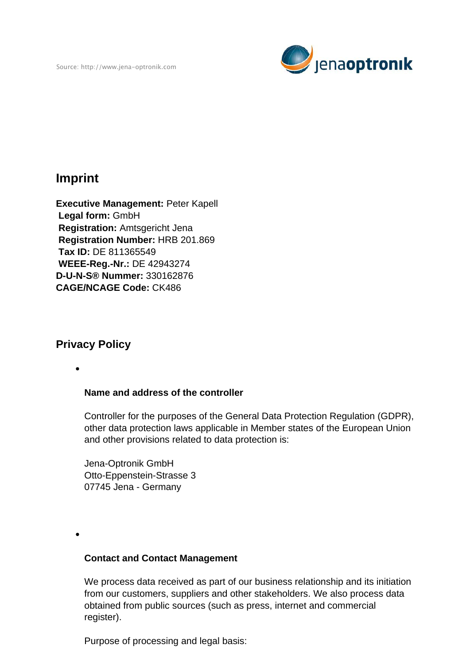

# **Imprint**

**Executive Management:** Peter Kapell **Legal form:** GmbH **Registration:** Amtsgericht Jena **Registration Number:** HRB 201.869 **Tax ID:** DE 811365549 **WEEE-Reg.-Nr.:** DE 42943274 **D-U-N-S® Nummer:** 330162876 **CAGE/NCAGE Code:** CK486

# **Privacy Policy**

#### **Name and address of the controller**

Controller for the purposes of the General Data Protection Regulation (GDPR), other data protection laws applicable in Member states of the European Union and other provisions related to data protection is:

Jena-Optronik GmbH Otto-Eppenstein-Strasse 3 07745 Jena - Germany

#### **Contact and Contact Management**

We process data received as part of our business relationship and its initiation from our customers, suppliers and other stakeholders. We also process data obtained from public sources (such as press, internet and commercial register).

Purpose of processing and legal basis: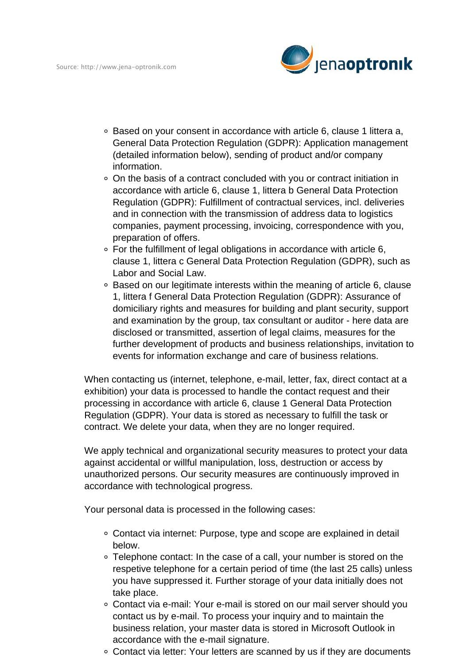

- Based on your consent in accordance with article 6, clause 1 littera a, General Data Protection Regulation (GDPR): Application management (detailed information below), sending of product and/or company information.
- On the basis of a contract concluded with you or contract initiation in accordance with article 6, clause 1, littera b General Data Protection Regulation (GDPR): Fulfillment of contractual services, incl. deliveries and in connection with the transmission of address data to logistics companies, payment processing, invoicing, correspondence with you, preparation of offers.
- For the fulfillment of legal obligations in accordance with article 6, clause 1, littera c General Data Protection Regulation (GDPR), such as Labor and Social Law.
- Based on our legitimate interests within the meaning of article 6, clause 1, littera f General Data Protection Regulation (GDPR): Assurance of domiciliary rights and measures for building and plant security, support and examination by the group, tax consultant or auditor - here data are disclosed or transmitted, assertion of legal claims, measures for the further development of products and business relationships, invitation to events for information exchange and care of business relations.

When contacting us (internet, telephone, e-mail, letter, fax, direct contact at a exhibition) your data is processed to handle the contact request and their processing in accordance with article 6, clause 1 General Data Protection Regulation (GDPR). Your data is stored as necessary to fulfill the task or contract. We delete your data, when they are no longer required.

We apply technical and organizational security measures to protect your data against accidental or willful manipulation, loss, destruction or access by unauthorized persons. Our security measures are continuously improved in accordance with technological progress.

Your personal data is processed in the following cases:

- Contact via internet: Purpose, type and scope are explained in detail below.
- Telephone contact: In the case of a call, your number is stored on the respetive telephone for a certain period of time (the last 25 calls) unless you have suppressed it. Further storage of your data initially does not take place.
- Contact via e-mail: Your e-mail is stored on our mail server should you contact us by e-mail. To process your inquiry and to maintain the business relation, your master data is stored in Microsoft Outlook in accordance with the e-mail signature.
- Contact via letter: Your letters are scanned by us if they are documents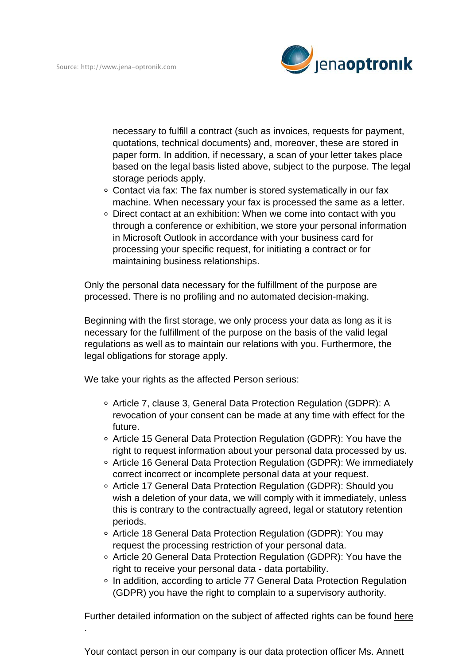.



necessary to fulfill a contract (such as invoices, requests for payment, quotations, technical documents) and, moreover, these are stored in paper form. In addition, if necessary, a scan of your letter takes place based on the legal basis listed above, subject to the purpose. The legal storage periods apply.

- Contact via fax: The fax number is stored systematically in our fax machine. When necessary your fax is processed the same as a letter.
- Direct contact at an exhibition: When we come into contact with you through a conference or exhibition, we store your personal information in Microsoft Outlook in accordance with your business card for processing your specific request, for initiating a contract or for maintaining business relationships.

Only the personal data necessary for the fulfillment of the purpose are processed. There is no profiling and no automated decision-making.

Beginning with the first storage, we only process your data as long as it is necessary for the fulfillment of the purpose on the basis of the valid legal regulations as well as to maintain our relations with you. Furthermore, the legal obligations for storage apply.

We take your rights as the affected Person serious:

- Article 7, clause 3, General Data Protection Regulation (GDPR): A revocation of your consent can be made at any time with effect for the future.
- Article 15 General Data Protection Regulation (GDPR): You have the right to request information about your personal data processed by us.
- Article 16 General Data Protection Regulation (GDPR): We immediately correct incorrect or incomplete personal data at your request.
- Article 17 General Data Protection Regulation (GDPR): Should you wish a deletion of your data, we will comply with it immediately, unless this is contrary to the contractually agreed, legal or statutory retention periods.
- Article 18 General Data Protection Regulation (GDPR): You may request the processing restriction of your personal data.
- Article 20 General Data Protection Regulation (GDPR): You have the right to receive your personal data - data portability.
- In addition, according to article 77 General Data Protection Regulation (GDPR) you have the right to complain to a supervisory authority.

Further detailed information on the subject of affected rights can be found [here](https://gdpr-info.eu/chapter-3/)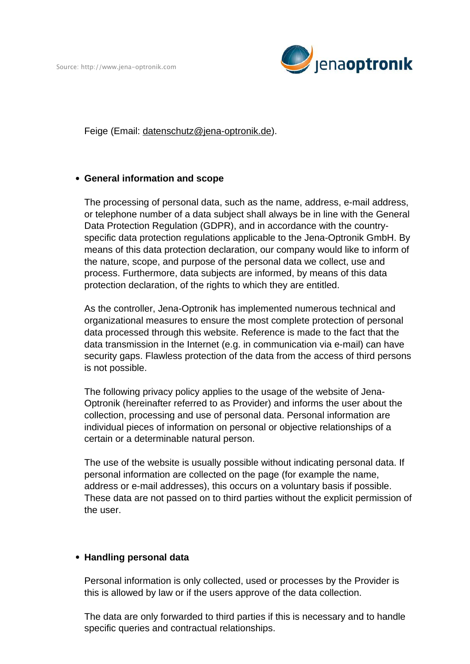

Feige (Email: datenschutz@jena-optronik.de).

## **General information and scope**

The processing of personal data, such as the name, address, e-mail address, or telephone number of a data subject shall always be in line with the General Data Protection Regulation (GDPR), and in accordance with the countryspecific data protection regulations applicable to the Jena-Optronik GmbH. By means of this data protection declaration, our company would like to inform of the nature, scope, and purpose of the personal data we collect, use and process. Furthermore, data subjects are informed, by means of this data protection declaration, of the rights to which they are entitled.

As the controller, Jena-Optronik has implemented numerous technical and organizational measures to ensure the most complete protection of personal data processed through this website. Reference is made to the fact that the data transmission in the Internet (e.g. in communication via e-mail) can have security gaps. Flawless protection of the data from the access of third persons is not possible.

The following privacy policy applies to the usage of the website of Jena-Optronik (hereinafter referred to as Provider) and informs the user about the collection, processing and use of personal data. Personal information are individual pieces of information on personal or objective relationships of a certain or a determinable natural person.

The use of the website is usually possible without indicating personal data. If personal information are collected on the page (for example the name, address or e-mail addresses), this occurs on a voluntary basis if possible. These data are not passed on to third parties without the explicit permission of the user.

## **Handling personal data**

Personal information is only collected, used or processes by the Provider is this is allowed by law or if the users approve of the data collection.

The data are only forwarded to third parties if this is necessary and to handle specific queries and contractual relationships.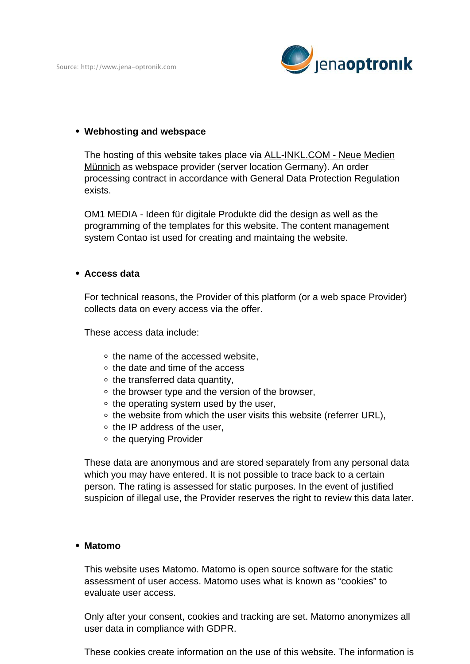Source: http://www.jena-optronik.com



#### **Webhosting and webspace**

The hosting of this website takes place via **ALL-INKL.COM - Neue Medien** Münnich as webspace provider (server location Germany). An order processing contract in accordance with General Data Protection Regulation exists.

OM1 MEDIA - Ideen für digitale Produkte did the design as well as the programming of the templates for this website. The content management system Contao ist used for creating and maintaing the website.

#### **Access data**

For technical reasons, the Provider of this platform (or a web space Provider) collects data on every access via the offer.

These access data include:

- the name of the accessed website,
- the date and time of the access
- the transferred data quantity,
- $\circ$  the browser type and the version of the browser,
- $\circ$  the operating system used by the user,
- $\circ$  the website from which the user visits this website (referrer URL),
- $\circ$  the IP address of the user.
- the querying Provider

These data are anonymous and are stored separately from any personal data which you may have entered. It is not possible to trace back to a certain person. The rating is assessed for static purposes. In the event of justified suspicion of illegal use, the Provider reserves the right to review this data later.

#### **Matomo**

This website uses Matomo. Matomo is open source software for the static assessment of user access. Matomo uses what is known as "cookies" to evaluate user access.

Only after your consent, cookies and tracking are set. Matomo anonymizes all user data in compliance with GDPR.

These cookies create information on the use of this website. The information is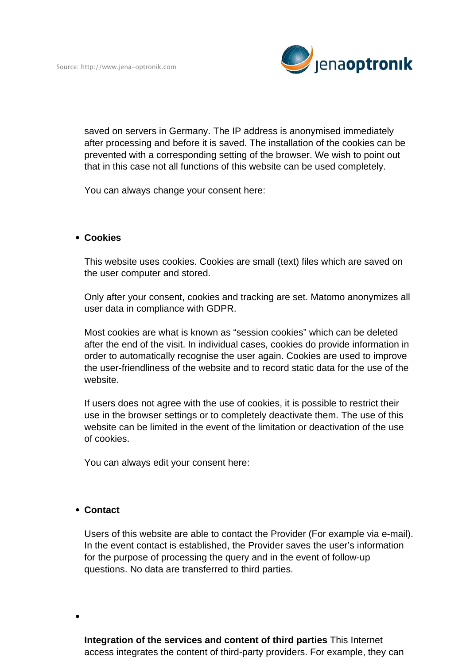

saved on servers in Germany. The IP address is anonymised immediately after processing and before it is saved. The installation of the cookies can be prevented with a corresponding setting of the browser. We wish to point out that in this case not all functions of this website can be used completely.

You can always change your consent here:

#### **Cookies**

This website uses cookies. Cookies are small (text) files which are saved on the user computer and stored.

Only after your consent, cookies and tracking are set. Matomo anonymizes all user data in compliance with GDPR.

Most cookies are what is known as "session cookies" which can be deleted after the end of the visit. In individual cases, cookies do provide information in order to automatically recognise the user again. Cookies are used to improve the user-friendliness of the website and to record static data for the use of the website.

If users does not agree with the use of cookies, it is possible to restrict their use in the browser settings or to completely deactivate them. The use of this website can be limited in the event of the limitation or deactivation of the use of cookies.

You can always edit your consent here:

#### **Contact**

Users of this website are able to contact the Provider (For example via e-mail). In the event contact is established, the Provider saves the user's information for the purpose of processing the query and in the event of follow-up questions. No data are transferred to third parties.

**Integration of the services and content of third parties** This Internet access integrates the content of third-party providers. For example, they can